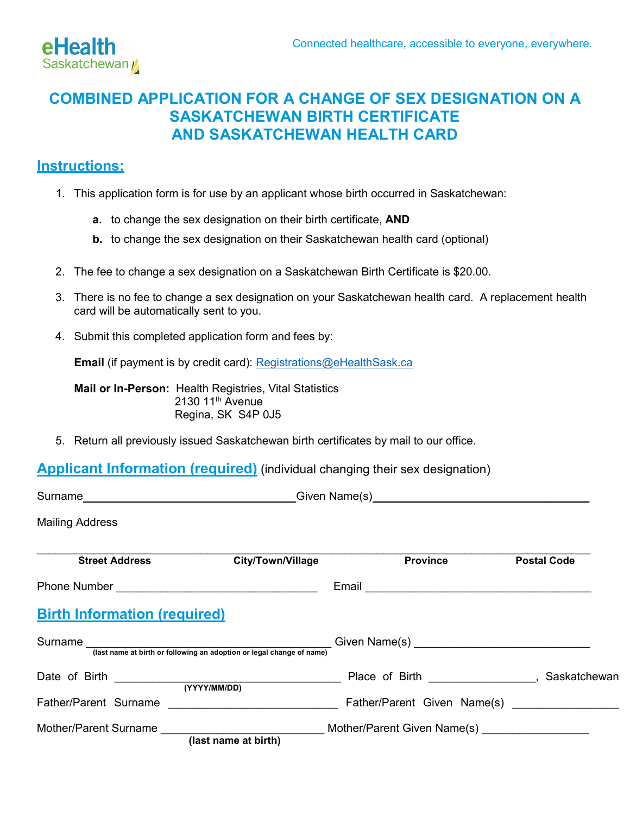

# **COMBINED APPLICATION FOR A CHANGE OF SEX DESIGNATION ON A SASKATCHEWAN BIRTH CERTIFICATE AND SASKATCHEWAN HEALTH CARD**

## **Instructions:**

- 1. This application form is for use by an applicant whose birth occurred in Saskatchewan:
	- **a.** to change the sex designation on their birth certificate, **AND**
	- **b.** to change the sex designation on their Saskatchewan health card (optional)
- 2. The fee to change a sex designation on a Saskatchewan Birth Certificate is \$20.00.
- 3. There is no fee to change a sex designation on your Saskatchewan health card. A replacement health card will be automatically sent to you.
- 4. Submit this completed application form and fees by:

**Email** (if payment is by credit card): [Registrations@eHealthSask.ca](mailto:Registrations@eHealthSask.ca)

**Mail or In-Person:** Health Registries, Vital Statistics 2130 11<sup>th</sup> Avenue Regina, SK S4P 0J5

5. Return all previously issued Saskatchewan birth certificates by mail to our office.

### **Applicant Information (required)** (individual changing their sex designation)

| <b>Mailing Address</b>                                                           |                          |                                                  |                    |
|----------------------------------------------------------------------------------|--------------------------|--------------------------------------------------|--------------------|
| <b>Street Address</b>                                                            | <b>City/Town/Village</b> | <b>Province</b>                                  | <b>Postal Code</b> |
|                                                                                  |                          |                                                  |                    |
| <b>Birth Information (required)</b>                                              |                          |                                                  |                    |
| Surname<br>(last name at birth or following an adoption or legal change of name) |                          |                                                  |                    |
|                                                                                  |                          | LACCORD Place of Birth LACCORD MARK Saskatchewan |                    |
|                                                                                  |                          |                                                  |                    |
| Mother/Parent Surname North Control of the Mother/                               | (last name at birth)     | Mother/Parent Given Name(s) _________________    |                    |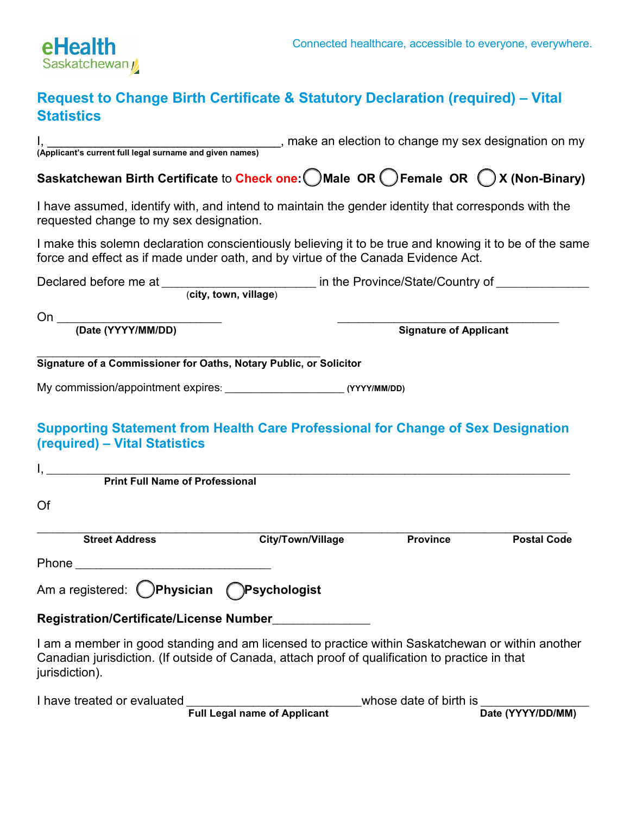

## **Request to Change Birth Certificate & Statutory Declaration (required) – Vital Statistics**

I, \_\_\_\_\_\_\_\_\_\_\_\_\_\_\_\_\_\_\_\_\_\_\_\_\_\_\_\_\_\_\_\_\_\_, make an election to change my sex designation on my

**(Applicant's current full legal surname and given names) Saskatchewan Birth Certificate** to **Check one:** ☐ **Male OR** ☐ **Female OR** ☐ **X (Non-Binary)** I have assumed, identify with, and intend to maintain the gender identity that corresponds with the requested change to my sex designation. I make this solemn declaration conscientiously believing it to be true and knowing it to be of the same force and effect as if made under oath, and by virtue of the Canada Evidence Act. Declared before me at \_\_\_\_\_\_\_\_\_\_\_\_\_\_\_\_\_\_\_\_\_\_\_\_\_ in the Province/State/Country of \_\_\_\_\_\_\_\_\_\_\_\_\_\_\_ (**city, town, village**) On \_\_\_\_\_\_\_\_\_\_\_\_\_\_\_\_\_\_\_\_\_\_\_\_\_\_\_\_\_\_\_\_ \_\_\_\_\_\_\_\_\_\_\_\_\_\_\_\_\_\_\_\_\_\_\_\_\_\_\_\_\_\_\_\_\_\_\_\_\_\_\_\_\_\_\_ **(Date (YYYY/MM/DD) Signature of Applicant** \_\_\_\_\_\_\_\_\_\_\_\_\_\_\_\_\_\_\_\_\_\_\_\_\_\_\_\_\_\_\_\_\_\_\_\_\_\_\_\_\_\_\_\_\_\_\_\_\_\_\_\_\_\_\_ **Signature of a Commissioner for Oaths, Notary Public, or Solicitor**  My commission/appointment expires: \_\_\_\_\_\_\_\_\_\_\_\_\_\_\_\_\_\_\_\_\_\_\_ **(YYYY/MM/DD) Supporting Statement from Health Care Professional for Change of Sex Designation (required) – Vital Statistics**  I, \_\_\_\_\_\_\_\_\_\_\_\_\_\_\_\_\_\_\_\_\_\_\_\_\_\_\_\_\_\_\_\_\_\_\_\_\_\_\_\_\_\_\_\_\_\_\_\_\_\_\_\_\_\_\_\_\_\_\_\_\_\_\_\_\_\_\_\_\_\_\_\_\_\_\_\_\_\_\_\_\_\_\_\_\_\_\_\_\_\_\_\_\_\_\_\_\_\_\_\_\_ **Print Full Name of Professional** Of  $\mathcal{L}_\mathcal{L} = \{ \mathcal{L}_\mathcal{L} = \{ \mathcal{L}_\mathcal{L} = \{ \mathcal{L}_\mathcal{L} = \{ \mathcal{L}_\mathcal{L} = \{ \mathcal{L}_\mathcal{L} = \{ \mathcal{L}_\mathcal{L} = \{ \mathcal{L}_\mathcal{L} = \{ \mathcal{L}_\mathcal{L} = \{ \mathcal{L}_\mathcal{L} = \{ \mathcal{L}_\mathcal{L} = \{ \mathcal{L}_\mathcal{L} = \{ \mathcal{L}_\mathcal{L} = \{ \mathcal{L}_\mathcal{L} = \{ \mathcal{L}_\mathcal{$ **Street Address City/Town/Village Province Postal Code** Phone  $\blacksquare$ Am a registered: ☐ **Physician** ☐ **Psychologist Registration/Certificate/License Number**\_\_\_\_\_\_\_\_\_\_\_\_\_\_\_\_\_\_\_ I am a member in good standing and am licensed to practice within Saskatchewan or within another Canadian jurisdiction. (If outside of Canada, attach proof of qualification to practice in that jurisdiction).

| I have treated or evaluated |                                     | whose date of birth is |                   |
|-----------------------------|-------------------------------------|------------------------|-------------------|
|                             | <b>Full Legal name of Applicant</b> |                        | Date (YYYY/DD/MM) |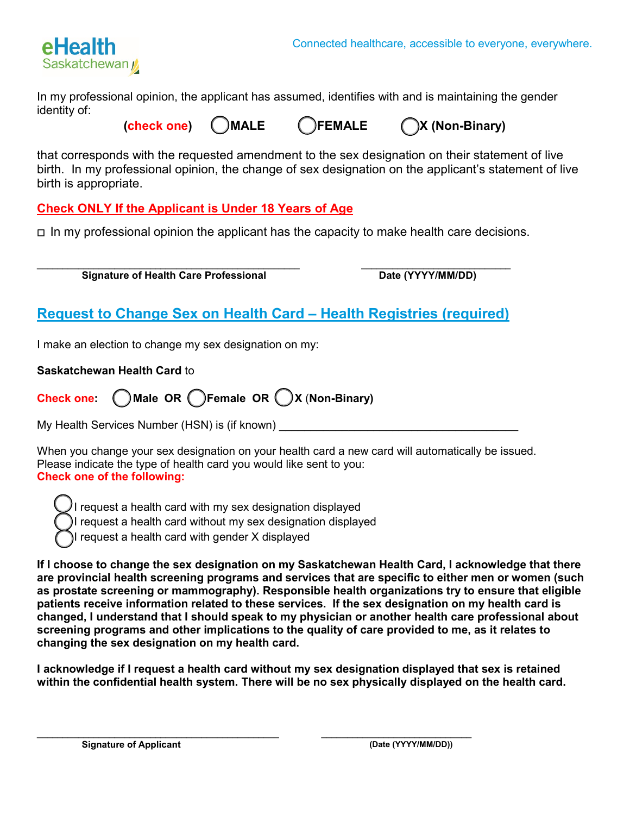

In my professional opinion, the applicant has assumed, identifies with and is maintaining the gender identity of:

**(check one)** ☐ **MALE** ☐ **FEMALE** ☐ **X (Non-Binary)**

that corresponds with the requested amendment to the sex designation on their statement of live birth. In my professional opinion, the change of sex designation on the applicant's statement of live birth is appropriate.

**Check ONLY If the Applicant is Under 18 Years of Age**

☐ In my professional opinion the applicant has the capacity to make health care decisions.

\_\_\_\_\_\_\_\_\_\_\_\_\_\_\_\_\_\_\_\_\_\_\_\_\_\_\_\_\_\_\_\_\_\_\_\_\_\_\_\_\_\_\_\_\_\_\_\_\_\_\_ \_\_\_\_\_\_\_\_\_\_\_\_\_\_\_\_\_\_\_\_\_\_\_\_\_\_\_\_\_ **Signature of Health Care Professional Date (YYYY/MM/DD)** 

# **Request to Change Sex on Health Card – Health Registries (required)**

I make an election to change my sex designation on my:

**Saskatchewan Health Card** to

|  | Check one: Male OR CFemale OR OX (Non-Binary) |  |
|--|-----------------------------------------------|--|
|  |                                               |  |

My Health Services Number (HSN) is (if known) \_\_\_\_\_\_\_\_\_\_\_\_\_\_\_\_\_\_\_\_\_\_\_\_\_\_\_\_\_\_\_\_\_\_

When you change your sex designation on your health card a new card will automatically be issued. Please indicate the type of health card you would like sent to you: **Check one of the following:**

I request a health card with my sex designation displayed I request a health card without my sex designation displayed I request a health card with gender X displayed

**If I choose to change the sex designation on my Saskatchewan Health Card, I acknowledge that there are provincial health screening programs and services that are specific to either men or women (such as prostate screening or mammography). Responsible health organizations try to ensure that eligible patients receive information related to these services. If the sex designation on my health card is changed, I understand that I should speak to my physician or another health care professional about screening programs and other implications to the quality of care provided to me, as it relates to changing the sex designation on my health card.** 

**I acknowledge if I request a health card without my sex designation displayed that sex is retained within the confidential health system. There will be no sex physically displayed on the health card.**

\_\_\_\_\_\_\_\_\_\_\_\_\_\_\_\_\_\_\_\_\_\_\_\_\_\_\_\_\_\_\_\_\_\_\_\_\_\_\_\_\_\_\_\_\_\_\_

\_\_\_\_\_\_\_\_\_\_\_\_\_\_\_\_\_\_\_\_\_\_\_\_\_\_\_\_\_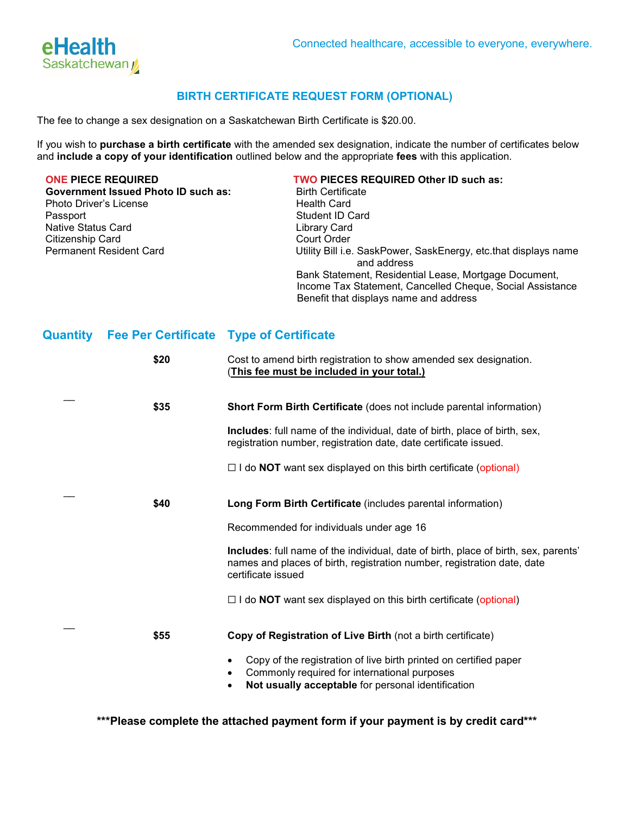

#### **BIRTH CERTIFICATE REQUEST FORM (OPTIONAL)**

The fee to change a sex designation on a Saskatchewan Birth Certificate is \$20.00.

If you wish to **purchase a birth certificate** with the amended sex designation, indicate the number of certificates below and **include a copy of your identification** outlined below and the appropriate **fees** with this application.

**Government Issued Photo ID such as:** Photo Driver's License **Health Card** Passport **Student ID Card**<br>
Native Status Card<br>
Native Status Card Native Status Card<br>
Citizenship Card<br>
Court Order Citizenship Card<br>Permanent Resident Card

# **ONE PIECE REQUIRED TWO PIECES REQUIRED Other ID such as:**

Utility Bill i.e. SaskPower, SaskEnergy, etc.that displays name and address Bank Statement, Residential Lease, Mortgage Document, Income Tax Statement, Cancelled Cheque, Social Assistance Benefit that displays name and address

#### **Quantity Fee Per Certificate Type of Certificate**

| \$20 | Cost to amend birth registration to show amended sex designation.<br><u>(This fee must be included in your total.)</u>                                                               |
|------|--------------------------------------------------------------------------------------------------------------------------------------------------------------------------------------|
| \$35 | <b>Short Form Birth Certificate (does not include parental information)</b>                                                                                                          |
|      | <b>Includes:</b> full name of the individual, date of birth, place of birth, sex,<br>registration number, registration date, date certificate issued.                                |
|      | $\Box$ I do <b>NOT</b> want sex displayed on this birth certificate (optional)                                                                                                       |
| \$40 | Long Form Birth Certificate (includes parental information)                                                                                                                          |
|      | Recommended for individuals under age 16                                                                                                                                             |
|      | Includes: full name of the individual, date of birth, place of birth, sex, parents'<br>names and places of birth, registration number, registration date, date<br>certificate issued |
|      | $\Box$ I do <b>NOT</b> want sex displayed on this birth certificate (optional)                                                                                                       |
| \$55 | Copy of Registration of Live Birth (not a birth certificate)                                                                                                                         |
|      | Copy of the registration of live birth printed on certified paper<br>Commonly required for international purposes<br>Not usually acceptable for personal identification              |

 **\*\*\*Please complete the attached payment form if your payment is by credit card\*\*\***